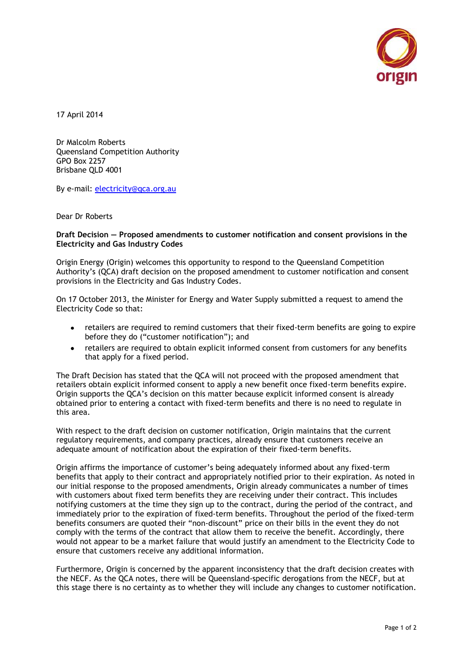

17 April 2014

Dr Malcolm Roberts Queensland Competition Authority GPO Box 2257 Brisbane QLD 4001

By e-mail: [electricity@qca.org.au](mailto:electricity@qca.org.au)

Dear Dr Roberts

## **Draft Decision — Proposed amendments to customer notification and consent provisions in the Electricity and Gas Industry Codes**

Origin Energy (Origin) welcomes this opportunity to respond to the Queensland Competition Authority's (QCA) draft decision on the proposed amendment to customer notification and consent provisions in the Electricity and Gas Industry Codes.

On 17 October 2013, the Minister for Energy and Water Supply submitted a request to amend the Electricity Code so that:

- retailers are required to remind customers that their fixed-term benefits are going to expire before they do ("customer notification"); and
- retailers are required to obtain explicit informed consent from customers for any benefits  $\bullet$ that apply for a fixed period.

The Draft Decision has stated that the QCA will not proceed with the proposed amendment that retailers obtain explicit informed consent to apply a new benefit once fixed-term benefits expire. Origin supports the QCA's decision on this matter because explicit informed consent is already obtained prior to entering a contact with fixed-term benefits and there is no need to regulate in this area.

With respect to the draft decision on customer notification, Origin maintains that the current regulatory requirements, and company practices, already ensure that customers receive an adequate amount of notification about the expiration of their fixed-term benefits.

Origin affirms the importance of customer's being adequately informed about any fixed-term benefits that apply to their contract and appropriately notified prior to their expiration. As noted in our initial response to the proposed amendments, Origin already communicates a number of times with customers about fixed term benefits they are receiving under their contract. This includes notifying customers at the time they sign up to the contract, during the period of the contract, and immediately prior to the expiration of fixed-term benefits. Throughout the period of the fixed-term benefits consumers are quoted their "non-discount" price on their bills in the event they do not comply with the terms of the contract that allow them to receive the benefit. Accordingly, there would not appear to be a market failure that would justify an amendment to the Electricity Code to ensure that customers receive any additional information.

Furthermore, Origin is concerned by the apparent inconsistency that the draft decision creates with the NECF. As the QCA notes, there will be Queensland-specific derogations from the NECF, but at this stage there is no certainty as to whether they will include any changes to customer notification.